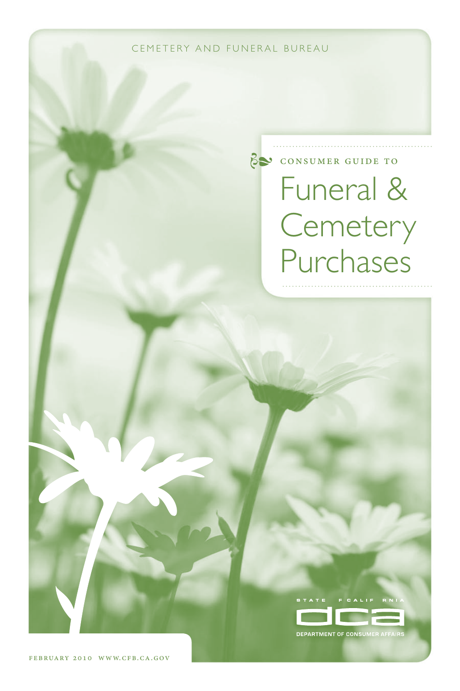CEMETERY AND FUNERAL BUREAU

# consumer guide to Funeral & **Cemetery** Purchases



**DEPARTMENT OF CONSUMER AFFAIRS**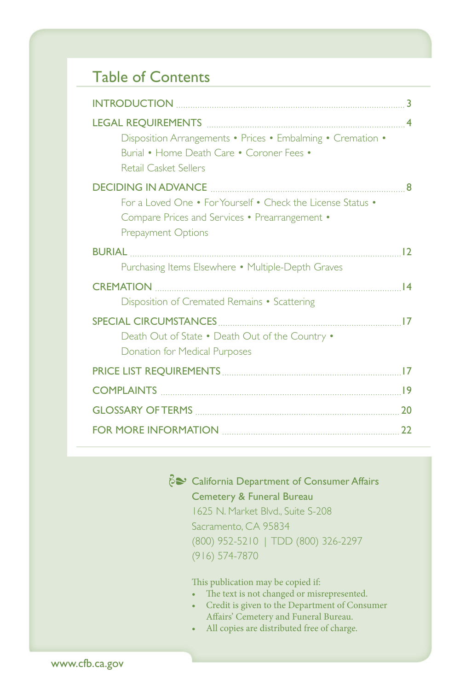# Table of Contents

| Disposition Arrangements • Prices • Embalming • Cremation •<br>Burial • Home Death Care • Coroner Fees • |
|----------------------------------------------------------------------------------------------------------|
| Retail Casket Sellers                                                                                    |
|                                                                                                          |
| For a Loved One • For Yourself • Check the License Status •                                              |
| Compare Prices and Services • Prearrangement •                                                           |
| Prepayment Options                                                                                       |
|                                                                                                          |
| Purchasing Items Elsewhere • Multiple-Depth Graves                                                       |
|                                                                                                          |
| Disposition of Cremated Remains • Scattering                                                             |
| <b>SPECIAL CIRCUMSTANCES</b>                                                                             |
| Death Out of State . Death Out of the Country .                                                          |
| <b>Donation for Medical Purposes</b>                                                                     |
|                                                                                                          |
|                                                                                                          |
|                                                                                                          |
|                                                                                                          |

California Department of Consumer Affairs Cemetery & Funeral Bureau 1625 N. Market Blvd., Suite S-208 Sacramento, CA 95834 (800) 952-5210 | TDD (800) 326-2297 (916) 574-7870

This publication may be copied if:

- • The text is not changed or misrepresented.
- • Credit is given to the Department of Consumer Affairs' Cemetery and Funeral Bureau.
- • All copies are distributed free of charge.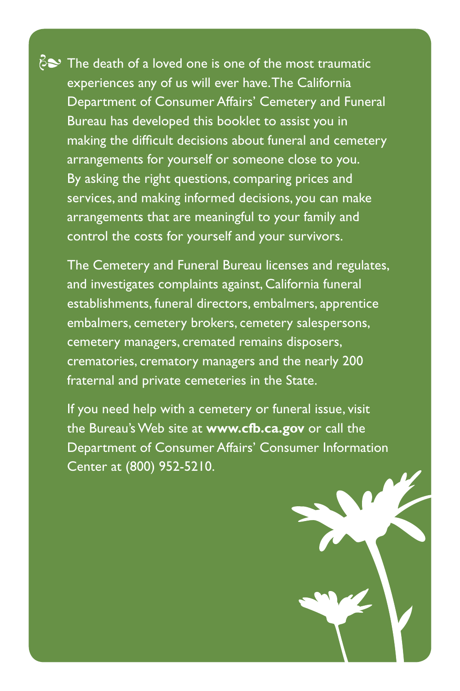$\delta$  The death of a loved one is one of the most traumatic experiences any of us will ever have.The California Department of Consumer Affairs' Cemetery and Funeral Bureau has developed this booklet to assist you in making the difficult decisions about funeral and cemetery arrangements for yourself or someone close to you. By asking the right questions, comparing prices and services, and making informed decisions, you can make arrangements that are meaningful to your family and control the costs for yourself and your survivors.

The Cemetery and Funeral Bureau licenses and regulates, and investigates complaints against, California funeral establishments, funeral directors, embalmers, apprentice embalmers, cemetery brokers, cemetery salespersons, cemetery managers, cremated remains disposers, crematories, crematory managers and the nearly 200 fraternal and private cemeteries in the State.

If you need help with a cemetery or funeral issue, visit the Bureau's Web site at **www.cfb.ca.gov** or call the Department of Consumer Affairs' Consumer Information Center at (800) 952-5210.

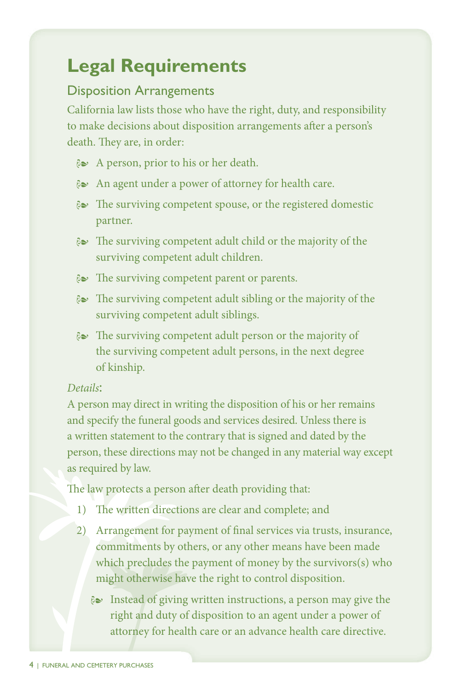# **Legal Requirements**

#### Disposition Arrangements

 California law lists those who have the right, duty, and responsibility to make decisions about disposition arrangements after a person's death. They are, in order:

- **i** A person, prior to his or her death.
- $\approx$  An agent under a power of attorney for health care.
- $\epsilon$  The surviving competent spouse, or the registered domestic partner. partner.
- $\&$  The surviving competent adult child or the majority of the surviving competent adult children. competent adult
- **i** The surviving competent parent or parents.
- $\approx$  The surviving competent adult sibling or the majority of the surviving competent adult siblings.
- $\epsilon$  The surviving competent adult person or the majority of the surviving competent adult persons, in the next degree of kinship. surviving competent adult persons, in the next degree of kinship.

#### *Details*:

 A person may direct in writing the disposition of his or her remains and specify the funeral goods and services desired. Unless there is a written statement to the contrary that is signed and dated by the person, these directions may not be changed in any material way except as required by law.

 The law protects a person after death providing that:

- 1) The written directions are clear and complete; and
- 2) Arrangement for payment of final services via trusts, insurance, commitments by others, or any other means have been made which precludes the payment of money by the survivors(s) who might otherwise have the right to control disposition.
	- $\approx$  Instead of giving written instructions, a person may give the right and duty of disposition to an agent under a power of attorney for health care or an advance health care directive.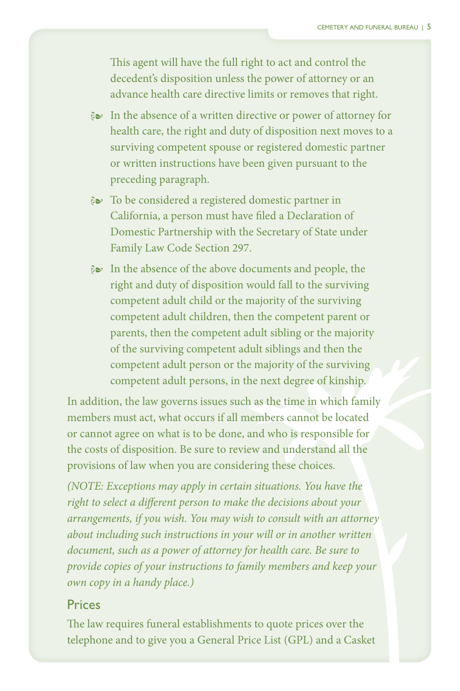This agent will have the full right to act and control the decedent's disposition unless the power of attorney or an advance health care directive limits or removes that right.

- $\approx$  In the absence of a written directive or power of attorney for health care, the right and duty of disposition next moves to a surviving competent spouse or registered domestic partner or written instructions have been given pursuant to the preceding paragraph.
- $\approx$  To be considered a registered domestic partner in California, a person must have filed a Declaration of Domestic Partnership with the Secretary of State under Family Law Code Section 297.
- $\approx$  In the absence of the above documents and people, the right and duty of disposition would fall to the surviving competent adult child or the majority of the surviving competent adult children, then the competent parent or parents, then the competent adult sibling or the majority of the surviving competent adult siblings and then the competent adult person or the majority of the surviving competent adult persons, in the next degree of kinship.

 In addition, the law governs issues such as the time in which family members must act, what occurs if all members cannot be located or cannot agree on what is to be done, and who is responsible for the costs of disposition. Be sure to review and understand all the provisions of law when you are considering these choices.

*(NOTE: Exceptions may apply in certain situations. You have the right to select a different person to make the decisions about your arrangements, if you wish. You may wish to consult with an attorney about including such instructions in your will or in another written document, such as a power of attorney for health care. Be sure to provide copies of your instructions to family members and keep your own copy in a handy place.)* 

#### Prices

 The law requires funeral establishments to quote prices over the telephone and to give you a General Price List (GPL) and a Casket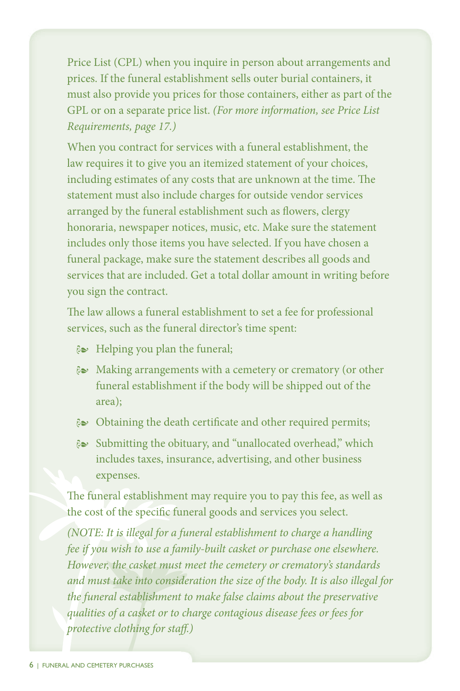Price List (CPL) when you inquire in person about arrangements and prices. If the funeral establishment sells outer burial containers, it must also provide you prices for those containers, either as part of the GPL or on a separate price list. *(For more information, see Price List Requirements, page 17.)* 

 When you contract for services with a funeral establishment, the law requires it to give you an itemized statement of your choices, including estimates of any costs that are unknown at the time. The statement must also include charges for outside vendor services arranged by the funeral establishment such as flowers, clergy honoraria, newspaper notices, music, etc. Make sure the statement includes only those items you have selected. If you have chosen a funeral package, make sure the statement describes all goods and services that are included. Get a total dollar amount in writing before you sign the contract.

 The law allows a funeral establishment to set a fee for professional services, such as the funeral director's time spent:

- i Helping you plan the funeral;
- $\approx$  Making arrangements with a cemetery or crematory (or other funeral establishment if the body will be shipped out of the area);
- $\approx$  Obtaining the death certificate and other required permits;
- $\epsilon$  Submitting the obituary, and "unallocated overhead," which includes taxes, insurance, advertising, and other business expenses.

 The funeral establishment may require you to pay this fee, as well as the cost of the specific funeral goods and services you select.

*(NOTE: It is illegal for a funeral establishment to charge a handling fee if you wish to use a family-built casket or purchase one elsewhere. However, the casket must meet the cemetery or crematory's standards and must take into consideration the size of the body. It is also illegal for the funeral establishment to make false claims about the preservative qualities of a casket or to charge contagious disease fees or fees for protective clothing for staff.)*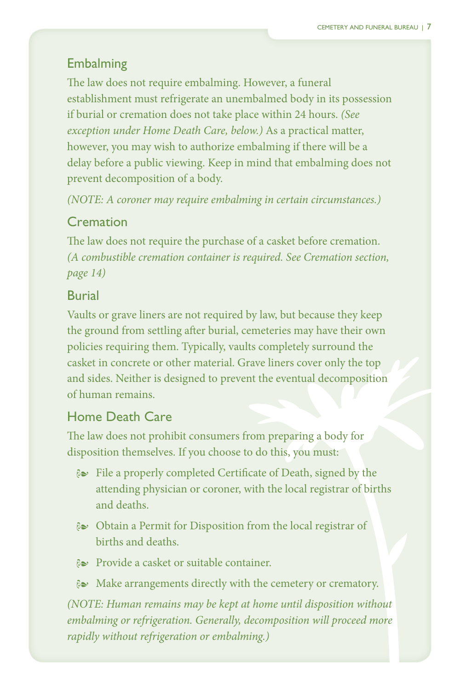### Embalming

 The law does not require embalming. However, a funeral establishment must refrigerate an unembalmed body in its possession if burial or cremation does not take place within 24 hours. *(See exception under Home Death Care, below.)* As a practical matter, however, you may wish to authorize embalming if there will be a delay before a public viewing. Keep in mind that embalming does not prevent decomposition of a body.

*(NOTE: A coroner may require embalming in certain circumstances.)* 

### Cremation

 The law does not require the purchase of a casket before cremation. *(A combustible cremation container is required. See Cremation section, page 14)* 

### Burial

 Vaults or grave liners are not required by law, but because they keep the ground from settling after burial, cemeteries may have their own policies requiring them. Typically, vaults completely surround the casket in concrete or other material. Grave liners cover only the top and sides. Neither is designed to prevent the eventual decomposition of human remains.

# Home Death Care

 The law does not prohibit consumers from preparing a body for disposition themselves. If you choose to do this, you must:

- $\mathcal{E}$  File a properly completed Certificate of Death, signed by the attending physician or coroner, with the local registrar of births and deaths.
- & Obtain a Permit for Disposition from the local registrar of births and deaths.
- Provide a casket or suitable container.
- $\&$  Make arrangements directly with the cemetery or crematory.

*(NOTE: Human remains may be kept at home until disposition without embalming or refrigeration. Generally, decomposition will proceed more rapidly without refrigeration or embalming.)*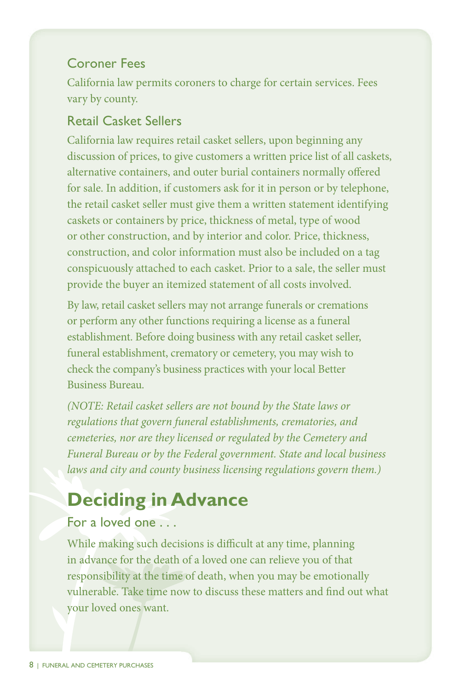#### Coroner Fees

 California law permits coroners to charge for certain services. Fees vary by county.

# Retail Casket Sellers

 California law requires retail casket sellers, upon beginning any discussion of prices, to give customers a written price list of all caskets, alternative containers, and outer burial containers normally offered for sale. In addition, if customers ask for it in person or by telephone, the retail casket seller must give them a written statement identifying caskets or containers by price, thickness of metal, type of wood or other construction, and by interior and color. Price, thickness, construction, and color information must also be included on a tag conspicuously attached to each casket. Prior to a sale, the seller must provide the buyer an itemized statement of all costs involved.

 By law, retail casket sellers may not arrange funerals or cremations or perform any other functions requiring a license as a funeral establishment. Before doing business with any retail casket seller, funeral establishment, crematory or cemetery, you may wish to check the company's business practices with your local Better Business Bureau.

*(NOTE: Retail casket sellers are not bound by the State laws or regulations that govern funeral establishments, crematories, and cemeteries, nor are they licensed or regulated by the Cemetery and Funeral Bureau or by the Federal government. State and local business laws and city and county business licensing regulations govern them.)* 

# **Deciding in Advance**

### For a loved one . . .

 While making such decisions is difficult at any time, planning in advance for the death of a loved one can relieve you of that responsibility at the time of death, when you may be emotionally vulnerable. Take time now to discuss these matters and find out what your loved ones want.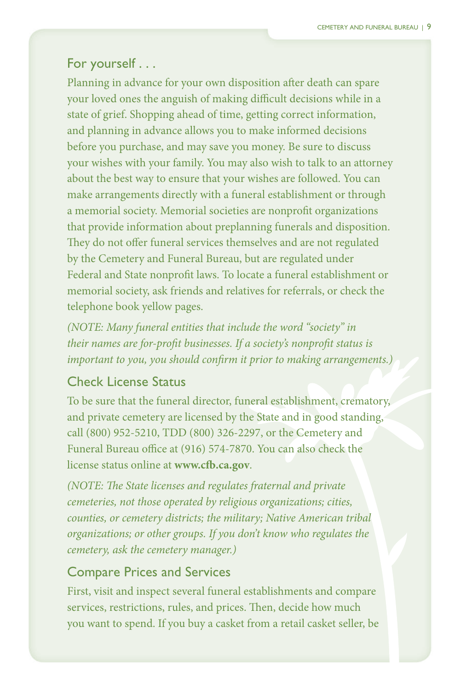#### For yourself . . .

 Planning in advance for your own disposition after death can spare your loved ones the anguish of making difficult decisions while in a state of grief. Shopping ahead of time, getting correct information, and planning in advance allows you to make informed decisions before you purchase, and may save you money. Be sure to discuss your wishes with your family. You may also wish to talk to an attorney about the best way to ensure that your wishes are followed. You can make arrangements directly with a funeral establishment or through a memorial society. Memorial societies are nonprofit organizations that provide information about preplanning funerals and disposition. They do not offer funeral services themselves and are not regulated by the Cemetery and Funeral Bureau, but are regulated under Federal and State nonprofit laws. To locate a funeral establishment or memorial society, ask friends and relatives for referrals, or check the telephone book yellow pages.

*(NOTE: Many funeral entities that include the word "society" in their names are for-profit businesses. If a society's nonprofit status is important to you, you should confirm it prior to making arrangements.)* 

#### Check License Status

 To be sure that the funeral director, funeral establishment, crematory, and private cemetery are licensed by the State and in good standing, call (800) 952-5210, TDD (800) 326-2297, or the Cemetery and Funeral Bureau office at (916) 574-7870. You can also check the license status online at **www.cfb.ca.gov**.

*(NOTE: The State licenses and regulates fraternal and private cemeteries, not those operated by religious organizations; cities, counties, or cemetery districts; the military; Native American tribal organizations; or other groups. If you don't know who regulates the cemetery, ask the cemetery manager.)* 

#### Compare Prices and Services

 First, visit and inspect several funeral establishments and compare services, restrictions, rules, and prices. Then, decide how much you want to spend. If you buy a casket from a retail casket seller, be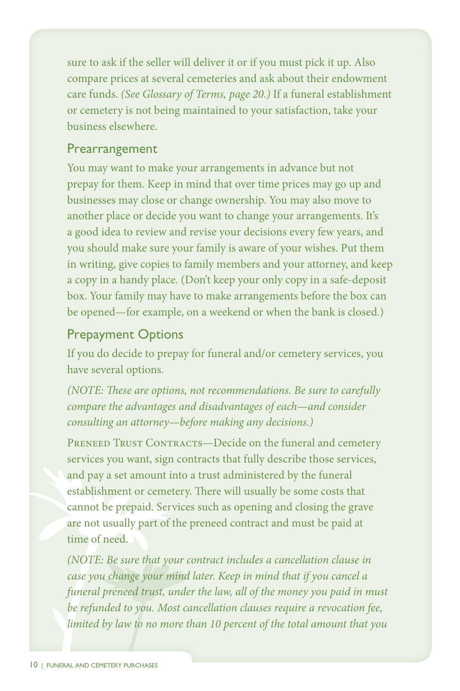sure to ask if the seller will deliver it or if you must pick it up. Also compare prices at several cemeteries and ask about their endowment care funds. *(See Glossary of Terms, page 20.)* If a funeral establishment or cemetery is not being maintained to your satisfaction, take your business elsewhere.

#### Prearrangement

 You may want to make your arrangements in advance but not prepay for them. Keep in mind that over time prices may go up and businesses may close or change ownership. You may also move to another place or decide you want to change your arrangements. It's a good idea to review and revise your decisions every few years, and you should make sure your family is aware of your wishes. Put them in writing, give copies to family members and your attorney, and keep a copy in a handy place. (Don't keep your only copy in a safe-deposit box. Your family may have to make arrangements before the box can be opened—for example, on a weekend or when the bank is closed.)

#### Prepayment Options

 If you do decide to prepay for funeral and/or cemetery services, you have several options.

*(NOTE: These are options, not recommendations. Be sure to carefully compare the advantages and disadvantages of each—and consider consulting an attorney—before making any decisions.)* 

PRENEED TRUST CONTRACTS-Decide on the funeral and cemetery services you want, sign contracts that fully describe those services, and pay a set amount into a trust administered by the funeral establishment or cemetery. There will usually be some costs that cannot be prepaid. Services such as opening and closing the grave are not usually part of the preneed contract and must be paid at time of need.

*case you change your mind later. Keep in mind that if you cancel a funeral preneed trust, under the law, all of the money you paid in must be refunded to you. Most cancellation clauses require a revocation fee, limited by law to no more than 10 percent of the total amount that you (NOTE: Be sure that your contract includes a cancellation clause in*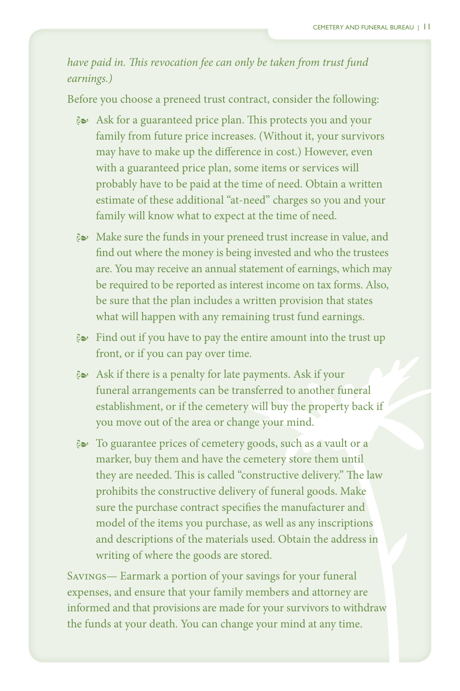*have paid in. This revocation fee can only be taken from trust fund earnings.)* 

 Before you choose a preneed trust contract, consider the following:

- $\approx$  Ask for a guaranteed price plan. This protects you and your family from future price increases. (Without it, your survivors may have to make up the difference in cost.) However, even with a guaranteed price plan, some items or services will probably have to be paid at the time of need. Obtain a written estimate of these additional "at-need" charges so you and your family will know what to expect at the time of need.
- $\approx$  Make sure the funds in your preneed trust increase in value, and find out where the money is being invested and who the trustees are. You may receive an annual statement of earnings, which may be required to be reported as interest income on tax forms. Also, be sure that the plan includes a written provision that states what will happen with any remaining trust fund earnings.
- $\approx$  Find out if you have to pay the entire amount into the trust up front, or if you can pay over time.
- $\&$  Ask if there is a penalty for late payments. Ask if your funeral arrangements can be transferred to another funeral establishment, or if the cemetery will buy the property back if you move out of the area or change your mind.
- 8 To guarantee prices of cemetery goods, such as a vault or a marker, buy them and have the cemetery store them until they are needed. This is called "constructive delivery." The law prohibits the constructive delivery of funeral goods. Make sure the purchase contract specifies the manufacturer and model of the items you purchase, as well as any inscriptions and descriptions of the materials used. Obtain the address in writing of where the goods are stored.

 Savings— Earmark a portion of your savings for your funeral expenses, and ensure that your family members and attorney are informed and that provisions are made for your survivors to withdraw the funds at your death. You can change your mind at any time.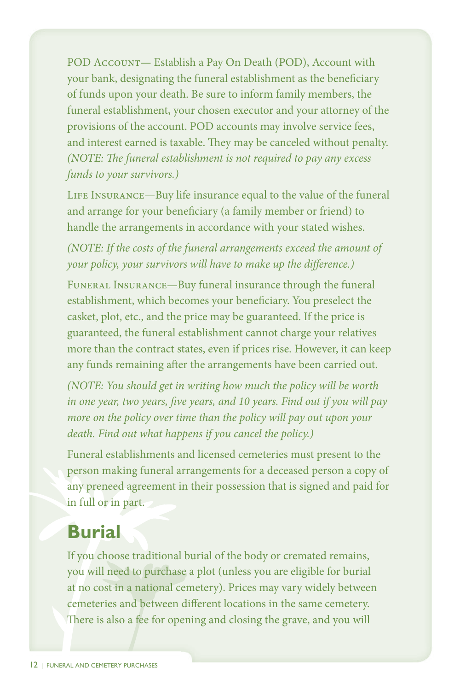POD Account— Establish a Pay On Death (POD), Account with your bank, designating the funeral establishment as the beneficiary of funds upon your death. Be sure to inform family members, the funeral establishment, your chosen executor and your attorney of the provisions of the account. POD accounts may involve service fees, and interest earned is taxable. They may be canceled without penalty. *(NOTE: The funeral establishment is not required to pay any excess funds to your survivors.)* 

LIFE INSURANCE—Buy life insurance equal to the value of the funeral and arrange for your beneficiary (a family member or friend) to handle the arrangements in accordance with your stated wishes.

*(NOTE: If the costs of the funeral arrangements exceed the amount of your policy, your survivors will have to make up the difference.)* 

 Funeral Insurance—Buy funeral insurance through the funeral establishment, which becomes your beneficiary. You preselect the casket, plot, etc., and the price may be guaranteed. If the price is guaranteed, the funeral establishment cannot charge your relatives more than the contract states, even if prices rise. However, it can keep any funds remaining after the arrangements have been carried out.

*(NOTE: You should get in writing how much the policy will be worth in one year, two years, five years, and 10 years. Find out if you will pay more on the policy over time than the policy will pay out upon your death. Find out what happens if you cancel the policy.)* 

 Funeral establishments and licensed cemeteries must present to the person making funeral arrangements for a deceased person a copy of any preneed agreement in their possession that is signed and paid for in full or in part.

# **Burial**

 If you choose traditional burial of the body or cremated remains, you will need to purchase a plot (unless you are eligible for burial at no cost in a national cemetery). Prices may vary widely between cemeteries and between different locations in the same cemetery. There is also a fee for opening and closing the grave, and you will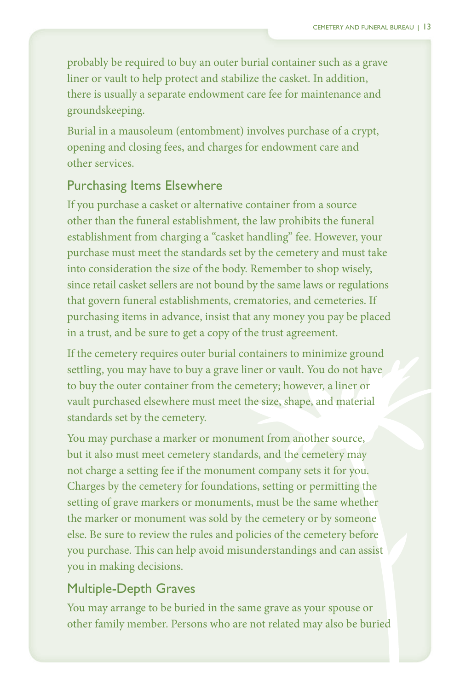probably be required to buy an outer burial container such as a grave liner or vault to help protect and stabilize the casket. In addition, there is usually a separate endowment care fee for maintenance and groundskeeping.

 Burial in a mausoleum (entombment) involves purchase of a crypt, opening and closing fees, and charges for endowment care and other services.

#### Purchasing Items Elsewhere

 If you purchase a casket or alternative container from a source other than the funeral establishment, the law prohibits the funeral establishment from charging a "casket handling" fee. However, your purchase must meet the standards set by the cemetery and must take into consideration the size of the body. Remember to shop wisely, since retail casket sellers are not bound by the same laws or regulations that govern funeral establishments, crematories, and cemeteries. If purchasing items in advance, insist that any money you pay be placed in a trust, and be sure to get a copy of the trust agreement.

 If the cemetery requires outer burial containers to minimize ground settling, you may have to buy a grave liner or vault. You do not have to buy the outer container from the cemetery; however, a liner or vault purchased elsewhere must meet the size, shape, and material standards set by the cemetery.

 You may purchase a marker or monument from another source, but it also must meet cemetery standards, and the cemetery may not charge a setting fee if the monument company sets it for you. Charges by the cemetery for foundations, setting or permitting the setting of grave markers or monuments, must be the same whether the marker or monument was sold by the cemetery or by someone else. Be sure to review the rules and policies of the cemetery before you purchase. This can help avoid misunderstandings and can assist you in making decisions.

#### Multiple-Depth Graves

 You may arrange to be buried in the same grave as your spouse or other family member. Persons who are not related may also be buried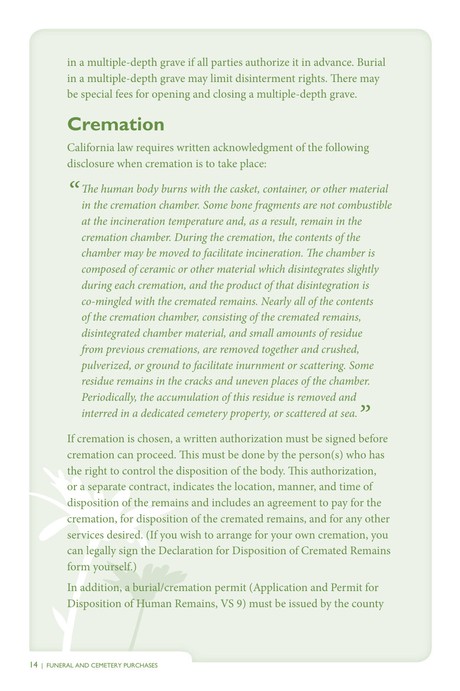in a multiple-depth grave if all parties authorize it in advance. Burial in a multiple-depth grave may limit disinterment rights. There may be special fees for opening and closing a multiple-depth grave.

# **Cremation**

 California law requires written acknowledgment of the following disclosure when cremation is to take place:

*" The human body burns with the casket, container, or other material in the cremation chamber. Some bone fragments are not combustible at the incineration temperature and, as a result, remain in the cremation chamber. During the cremation, the contents of the chamber may be moved to facilitate incineration. The chamber is composed of ceramic or other material which disintegrates slightly during each cremation, and the product of that disintegration is co-mingled with the cremated remains. Nearly all of the contents of the cremation chamber, consisting of the cremated remains, disintegrated chamber material, and small amounts of residue from previous cremations, are removed together and crushed, pulverized, or ground to facilitate inurnment or scattering. Some residue remains in the cracks and uneven places of the chamber. Periodically, the accumulation of this residue is removed and interred in a dedicated cemetery property, or scattered at sea."* 

 If cremation is chosen, a written authorization must be signed before cremation can proceed. This must be done by the person(s) who has the right to control the disposition of the body. This authorization, or a separate contract, indicates the location, manner, and time of disposition of the remains and includes an agreement to pay for the cremation, for disposition of the cremated remains, and for any other services desired. (If you wish to arrange for your own cremation, you can legally sign the Declaration for Disposition of Cremated Remains form yourself.)

 In addition, a burial/cremation permit (Application and Permit for Disposition of Human Remains, VS 9) must be issued by the county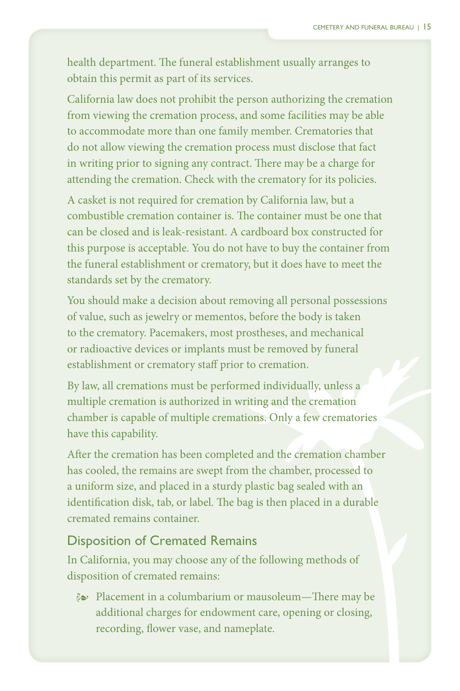health department. The funeral establishment usually arranges to obtain this permit as part of its services.

 California law does not prohibit the person authorizing the cremation from viewing the cremation process, and some facilities may be able to accommodate more than one family member. Crematories that do not allow viewing the cremation process must disclose that fact in writing prior to signing any contract. There may be a charge for attending the cremation. Check with the crematory for its policies.

 A casket is not required for cremation by California law, but a combustible cremation container is. The container must be one that can be closed and is leak-resistant. A cardboard box constructed for this purpose is acceptable. You do not have to buy the container from the funeral establishment or crematory, but it does have to meet the standards set by the crematory.

 You should make a decision about removing all personal possessions of value, such as jewelry or mementos, before the body is taken to the crematory. Pacemakers, most prostheses, and mechanical or radioactive devices or implants must be removed by funeral establishment or crematory staff prior to cremation.

 By law, all cremations must be performed individually, unless a multiple cremation is authorized in writing and the cremation chamber is capable of multiple cremations. Only a few crematories have this capability.

 After the cremation has been completed and the cremation chamber has cooled, the remains are swept from the chamber, processed to a uniform size, and placed in a sturdy plastic bag sealed with an identification disk, tab, or label. The bag is then placed in a durable cremated remains container.

#### Disposition of Cremated Remains

 In California, you may choose any of the following methods of disposition of cremated remains:

 $\approx$  Placement in a columbarium or mausoleum—There may be additional charges for endowment care, opening or closing, recording, flower vase, and nameplate.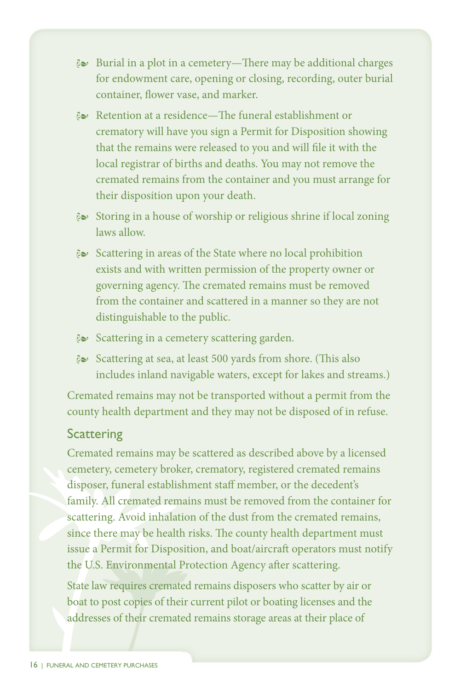- $\approx$  Burial in a plot in a cemetery—There may be additional charges for endowment care, opening or closing, recording, outer burial container, flower vase, and marker.
- $\approx$  Retention at a residence—The funeral establishment or crematory will have you sign a Permit for Disposition showing that the remains were released to you and will file it with the local registrar of births and deaths. You may not remove the cremated remains from the container and you must arrange for their disposition upon your death.
- $\approx$  Storing in a house of worship or religious shrine if local zoning laws allow.
- $\approx$  Scattering in areas of the State where no local prohibition exists and with written permission of the property owner or governing agency. The cremated remains must be removed from the container and scattered in a manner so they are not distinguishable to the public.
- & Scattering in a cemetery scattering garden.
- $\approx$  Scattering at sea, at least 500 yards from shore. (This also includes inland navigable waters, except for lakes and streams.)

 Cremated remains may not be transported without a permit from the county health department and they may not be disposed of in refuse.

#### **Scattering**

 Cremated remains may be scattered as described above by a licensed cemetery, cemetery broker, crematory, registered cremated remains disposer, funeral establishment staff member, or the decedent's family. All cremated remains must be removed from the container for scattering. Avoid inhalation of the dust from the cremated remains, since there may be health risks. The county health department must issue a Permit for Disposition, and boat/aircraft operators must notify the U.S. Environmental Protection Agency after scattering.

State law requires cremated remains disposers who scatter by air or boat to post copies of their current pilot or boating licenses and the addresses of their cremated remains storage areas at their place of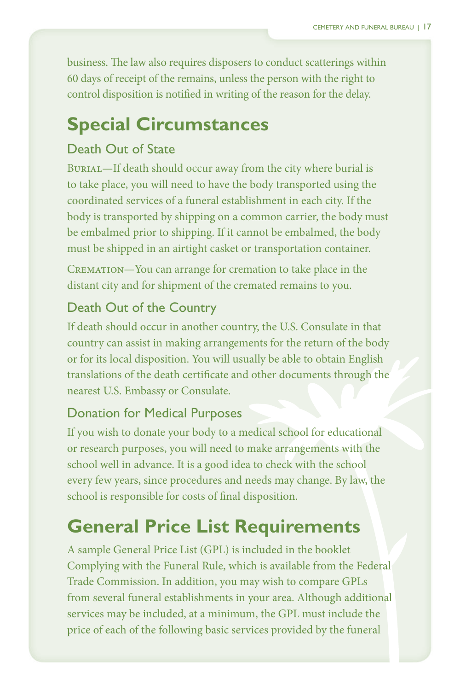business. The law also requires disposers to conduct scatterings within 60 days of receipt of the remains, unless the person with the right to control disposition is notified in writing of the reason for the delay.

# **Special Circumstances**

### Death Out of State

 Burial—If death should occur away from the city where burial is to take place, you will need to have the body transported using the coordinated services of a funeral establishment in each city. If the body is transported by shipping on a common carrier, the body must be embalmed prior to shipping. If it cannot be embalmed, the body must be shipped in an airtight casket or transportation container.

 Cremation—You can arrange for cremation to take place in the distant city and for shipment of the cremated remains to you.

# Death Out of the Country

 If death should occur in another country, the U.S. Consulate in that country can assist in making arrangements for the return of the body or for its local disposition. You will usually be able to obtain English translations of the death certificate and other documents through the nearest U.S. Embassy or Consulate.

### Donation for Medical Purposes

If you wish to donate your body to a medical school for educational or research purposes, you will need to make arrangements with the school well in advance. It is a good idea to check with the school every few years, since procedures and needs may change. By law, the school is responsible for costs of final disposition.

# **General Price List Requirements**

 A sample General Price List (GPL) is included in the booklet Complying with the Funeral Rule, which is available from the Federal Trade Commission. In addition, you may wish to compare GPLs from several funeral establishments in your area. Although additional services may be included, at a minimum, the GPL must include the price of each of the following basic services provided by the funeral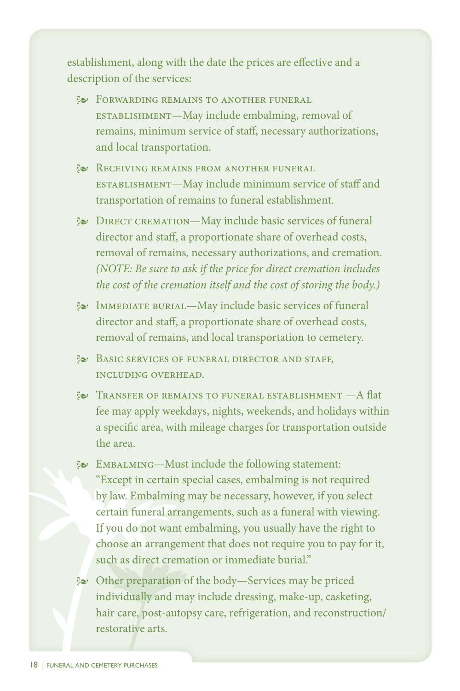establishment, along with the date the prices are effective and a description of the services:

- **EXECTE FORWARDING REMAINS TO ANOTHER FUNERAL**  establishment—May include embalming, removal of remains, minimum service of staff, necessary authorizations, and local transportation.
- $\approx$  Receiving remains from another funeral establishment—May include minimum service of staff and transportation of remains to funeral establishment.
- $\approx$  DIRECT CREMATION—May include basic services of funeral director and staff, a proportionate share of overhead costs, removal of remains, necessary authorizations, and cremation. *(NOTE: Be sure to ask if the price for direct cremation includes the cost of the cremation itself and the cost of storing the body.)*
- <sup>i</sup> Immediate burial—May include basic services of funeraldirector and staff, <sup>a</sup> proportionate share of overhead costs,removal of remains, and local transportation to cemetery.and staff, a proportionate share of overhead costs, of remains, and local transportation to cemetery.
- $\&$  Basic services of funeral director and staff,<br>including overhead. **INCLUDING OVERHEAD.**
- $\approx$  Transfer of remains to funeral establishment  $-A$  flat fee may apply weekdays, nights, weekends, and holidays within a specific area, with mileage charges for transportation outside the area.
- EMBALMING—Must include the following statement: "Except in certain special cases, embalming is not required by law. Embalming may be necessary, however, if you select certain funeral arrangements, such as a funeral with viewing. If you do not want embalming, you usually have the right to choose an arrangement that does not require you to pay for it, such as direct cremation or immediate burial."
- $\approx$  Other preparation of the body-Services may be priced individually and ma y include dressing, make-up, casketing, hair care, post-auto psy care, refrigeration, and reconstruction/ restorative arts.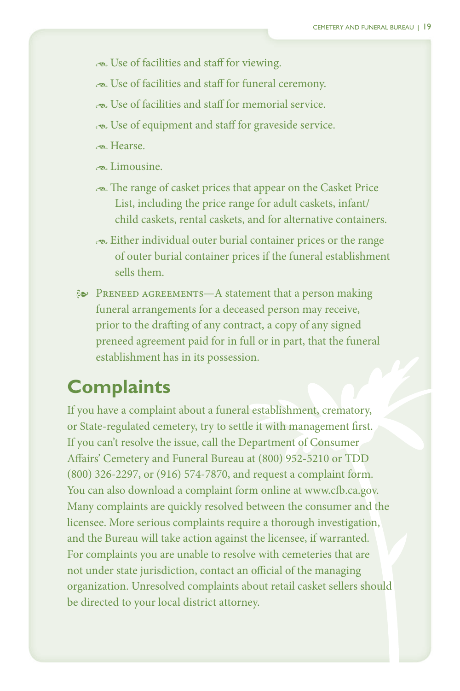- - Use of facilities and staff for viewing.
- - Use of facilities and staff for funeral ceremony.
- - Use of facilities and staff for memorial service.
- - Use of equipment and staff for graveside service.
- - Hearse.
- $\sim$ Limousine.
- range of casket prices that appear on the Casket Price The range of casket prices that appear on the Casket Price<br>List, including the price range for adult caskets, infant/ child caskets, rental caskets, and for alternative containers.
- - Either individual outer burial container prices or the range of outer burial container prices if the funeral establishment sells them.
- **E** PRENEED AGREEMENTS—A statement that a person making funeral arrangements for a deceased person may receive, prior to the drafting of any contract, a copy of any signed preneed agreement paid for in full or in part, that the funeral establishment has in its possession.

# **Complaints**

 If you have a complaint about a funeral establishment, crematory, or State-regulated cemetery, try to settle it with management first. If you can't resolve the issue, call the Department of Consumer Affairs' Cemetery and Funeral Bureau at (800) 952-5210 or TDD (800) 326-2297, or (916) 574-7870, and request a complaint form. You can also download a complaint form online at www.cfb.ca.gov. Many complaints are quickly resolved between the consumer and the licensee. More serious complaints require a thorough investigation, and the Bureau will take action against the licensee, if warranted. For complaints you are unable to resolve with cemeteries that are not under state jurisdiction, contact an official of the managing organization. Unresolved complaints about retail casket sellers should be directed to your local district attorney.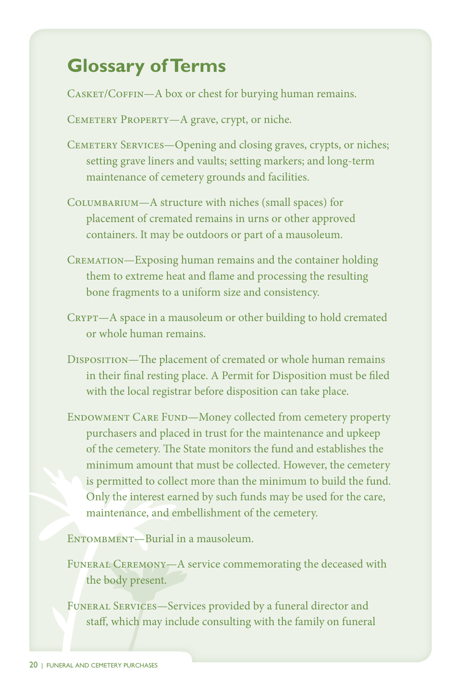# **Glossary of Terms**

CASKET/COFFIN-A box or chest for burying human remains.

CEMETERY PROPERTY-A grave, crypt, or niche.

- CEMETERY SERVICES-Opening and closing graves, crypts, or niches; setting grave liners and vaults; setting markers; and long-term maintenance of cemetery grounds and facilities.
- Columbarium—A structure with niches (small spaces) for placement of cremated remains in urns or other approved containers. It may be outdoors or part of a mausoleum.
- CREMATION—Exposing human remains and the container holding them to extreme heat and flame and processing the resulting bone fragments to a uniform size and consistency.
- CRYPT-A space in a mausoleum or other building to hold cremated or whole human remains.
- DISPOSITION-The placement of cremated or whole human remains in their final resting place. A Permit for Disposition must be filed with the local registrar before disposition can take place.
- ENDOWMENT CARE FUND-Money collected from cemetery property purchasers and placed in trust for the maintenance and upkeep of the cemetery. The State monitors the fund and establishes the minimum amount that must be collected. However, the cemetery is permitted to collect more than the minimum to build the fund. Only the interest earned by such funds may be used for the care, maintenance, and embellishment of the cemetery.

ENTOMBMENT-Burial in a mausoleum.

FUNERAL CEREMONY—A service commemorating the deceased with the body present.

Funeral Services—Services provided by a funeral director and staff, which may include consulting with the family on funeral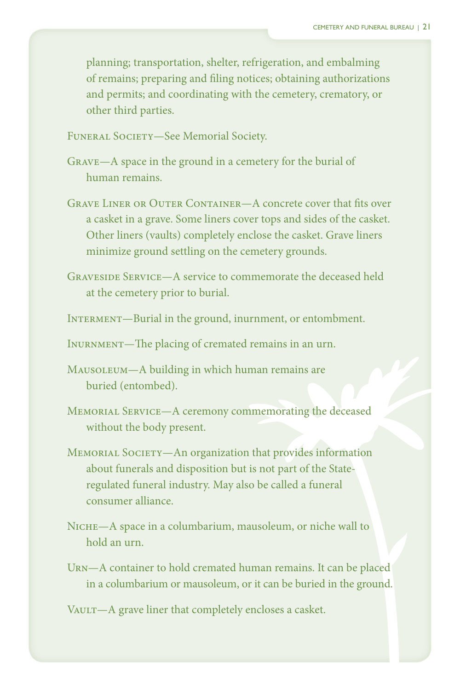planning; transportation, shelter, refrigeration, and embalming of remains; preparing and filing notices; obtaining authorizations and permits; and coordinating with the cemetery, crematory, or other third parties.

 Funeral Society—See Memorial Society.

- Grave—A space in the ground in a cemetery for the burial of human remains.
- GRAVE LINER OR OUTER CONTAINER—A concrete cover that fits over a casket in a grave. Some liners cover tops and sides of the casket. Other liners (vaults) completely enclose the casket. Grave liners minimize ground settling on the cemetery grounds.
- Graveside Service—A service to commemorate the deceased held at the cemetery prior to burial.
- INTERMENT—Burial in the ground, inurnment, or entombment.

 Inurnment—The placing of cremated remains in an urn.

- MAUSOLEUM-A building in which human remains are buried (entombed).
- Memorial Service—A ceremony commemorating the deceased without the body present.
- MEMORIAL SOCIETY-An organization that provides information about funerals and disposition but is not part of the State- regulated funeral industry. May also be called a funeral consumer alliance.
- NICHE-A space in a columbarium, mausoleum, or niche wall to hold an urn.
- Urn—A container to hold cremated human remains. It can be placed in a columbarium or mausoleum, or it can be buried in the ground.

VAULT-A grave liner that completely encloses a casket.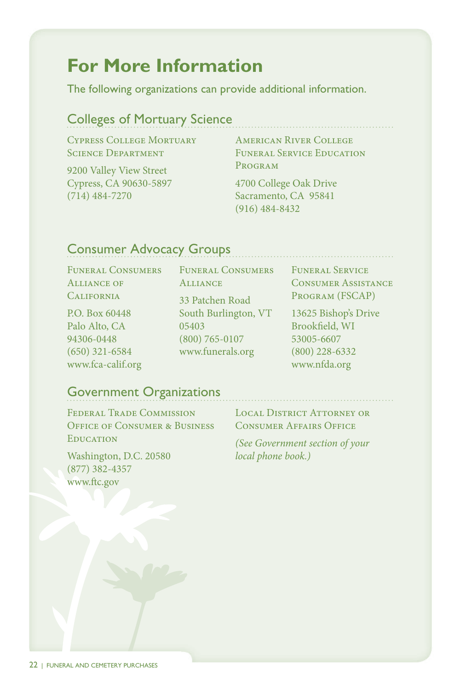# **For More Information**

The following organizations can provide additional information.

# Colleges of Mortuary Science

 Cypress College Mortuary Science Department

 9200 Valley View Street Cypress, CA 90630-5897 (714) 484-7270

 American River College Funeral Service Education Program

 4700 College Oak Drive Sacramento, CA 95841 (916) 484-8432

# Consumer Advocacy Groups

CONSUMERS  $\mathbf{OF}$  Funeral Consumers Funeral Consumers Funeral Service California <sup>33</sup> Patchen Road Program (FSCAP)

Box Alto, CA  $(650)$  321-6584 www.fca-calif.org www.nfda.org

Patchen P.O. Box 60448 South Burlington, VT 13625 Bishop's Drive 94306-0448 (800) 765-0107 53005-6607 Palo Alto, CA  $05403$  Brookfield, WI www.funerals.org (800) 228-6332

**FUNERAL SERVICE**  Alliance of Alliance Consumer Assistance

13625 Bishop's Drive

### Government Organizations

TRADE Office of Consumer & Business Consumer Affairs Office Federal Trade Commission Local District Attorney or Education *(See Government section of your* 

 Washington, D.C. 20580 *local phone book.)*  (877) 382-4357 www.ftc.gov

**CONSUMER AFFAIRS OFFICE**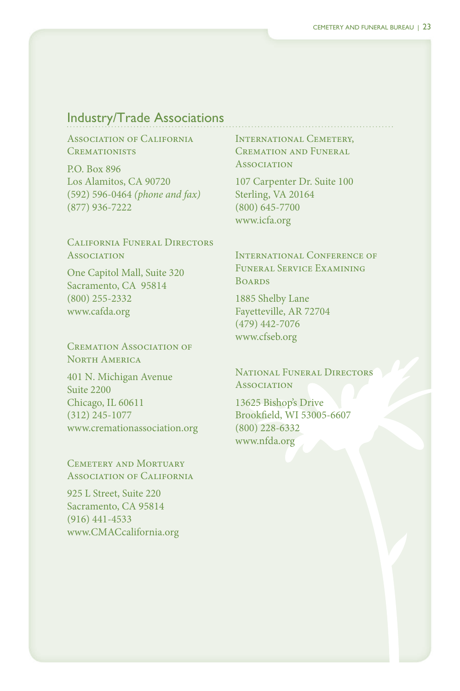### Industry/Trade Associations

 Association of California **CREMATIONISTS** 

**Box 896** Alamitos, CA 90720 P.O. Box 896<br>Los Alamitos, CA 90720<br>(592) 596-0464 *(phone and fax)*  $(877)$  936-7222

(877) 936-7222<br>California Funeral Directors **Association** 

One Capitol Mall, Suite 320<br>Sacramento, CA 95814 CA 95814 (800) 255-2332<br>www.cafda.org<br>Cremation Association of  $(800)$  255-2332 www.cafda.org

North America

N. Michigan Avenue IL 60611 Suite 2200  $(312)$  245-1077 401 N. Michigan Avenue<br>Suite 2200<br>Chicago, IL 60611<br>(312) 245-1077<br>www.cremationassociation.org<br>Cemetery and Mortuary ASSOCIATION OF CALIFORNIA INTERNATIONAL CEMETERY,<br>
CREMATIONISTS CREMATION AND FUNERAL<br>
P.O. Box 896<br>
(SP2) 596-0464 (phone and fax) Sterling, VA 20164<br>
(877) 936-7222 (800) 645-7700<br>
(877) 936-7222 (800) 645-7700<br>
CALIFOR

AND MORTUARY Association of California

L Street, Suite 220 CA 95814  $(916)$  441-4533 www.CMACcalifornia.org 925 L Street, Suite 220<br>Sacramento, CA 95814<br>(916) 441-4533

CEMETERY, Cremation and Funeral **ASSOCIATION** 

Carpenter Dr. Suite 100 VA 20164 107 Carpenter Dr. Suite 100<br>Sterling, VA 20164<br>(800) 645-7700<br>www.icfa.org<br>International Conference of  $(800) 645 - 7700$ www.icfa.org

 Funeral Service Examining **BOARDS** 

Shelby Lane AR 72704 1885 Shelby Lane<br>Fayetteville, AR 72704<br>(479) 442-7076<br>www.cfseb.org<br>National Funeral Directors  $(479)$  442-7076 www.cfseb.org

**Association** 

**Bishop's Drive** WI 53005-6607  $(800)$  228-6332 www.nfda.org 13625 Bishop's Drive<br>Brookfield, WI 53005-6607<br>(800) 228-6332<br>www.nfda.org